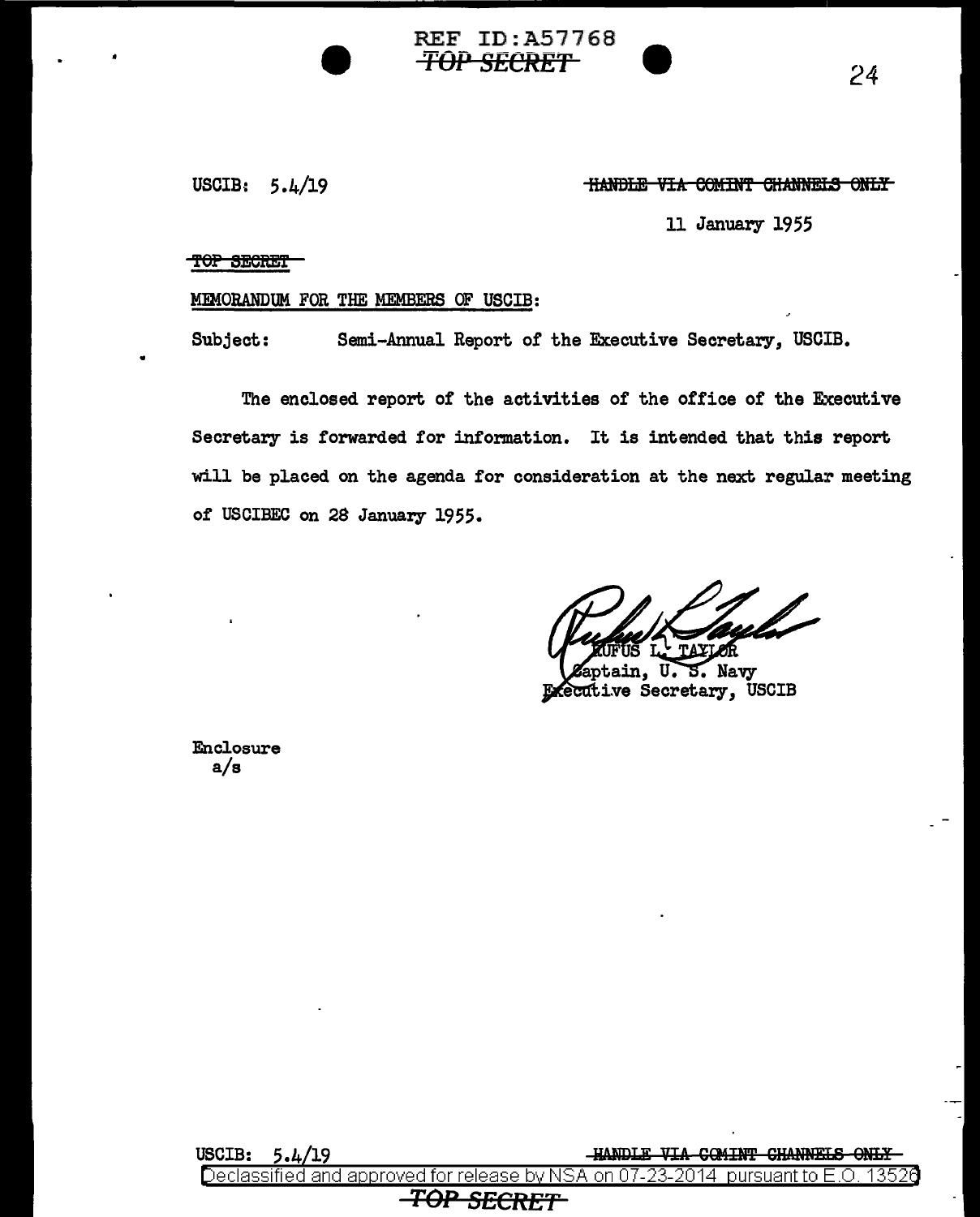USCIB: *5* .4/19

## <u>HANDLE VIA COMINT CHANNELS ONLY</u>

**TOP SECRET** 24

11 January 1955

#### TOP SECRET

### MEMORANDUM FOR THE MEMBERS OF USCIB:

Subject: Semi-Annual Report of the Executive Secretary, USCIB.

REF ID:A57768

The enclosed report of the activities of the office of the Executive Secretary is forwarded for information. It is intended that this report will be placed on the agenda for consideration at the next regular meeting of USCIBEC on 28 January 1955.

Leptain, U. S. Navy ...<br>Executive Secretary, USCIB

Enclosure a/s

USCIB:  $5.4/19$   $\text{HANDLE}$  VIA GOMINT GHANNELS ONLY and approved for release by NSA on 07-*TOP SECRE't'*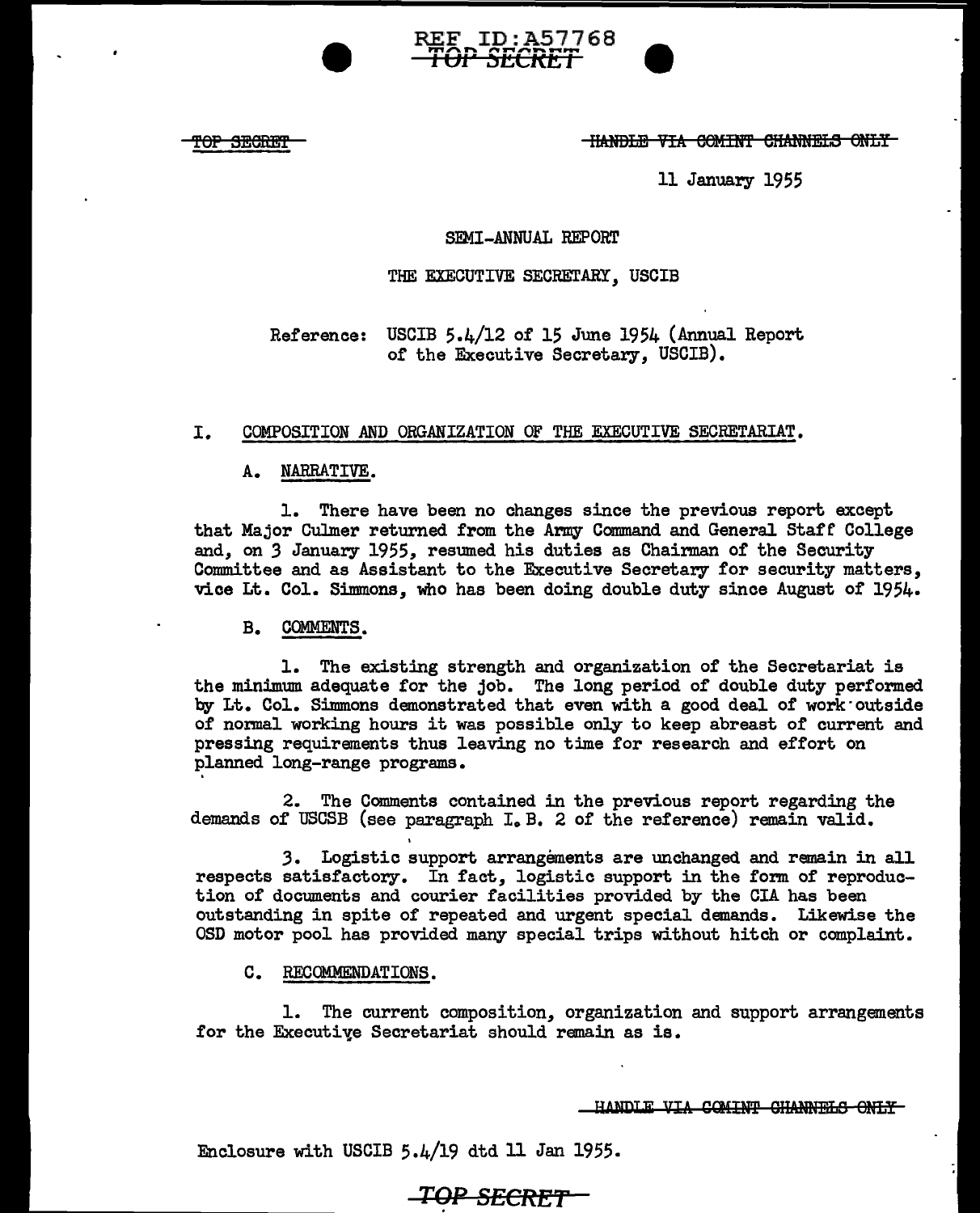OP SECRET

**-HANDLE VIA COMINT CHANNELS ONLY-**

-<br>0

**W** 

11 January 1955

## SEMI-ANNUAL REPORT

REF ID:A57768 ..... **l Ul.** "' .... **"'EtKr:t** ,,.~,,............ **<sup>l</sup>**

### THE EXECUTIVE SECRETARY, USCIB

Reference: USCIB 5.4/12 0£ 15 June 1954 (Annual Report 0£ the Executive Secretary, USCIB).

## I. COMPOSITION AND ORGANIZATION OF THE EXECUTIVE SECRETARIAT.

## A. NARRATIVE.

1. There have been no changes since the previous report except that Major Culmer returned from the Army Command and General Staff College and, on *3* January 1955, resumed his duties as Chairman of the Security Committee and as Assistant to the Executive Secretary £or security matters, vice Lt. Col. Simmons, who has been doing double duty since August 0£ 1954.

#### B. COMMENTS.

1. The existing strength and organization of the Secretariat is the minimum adequate for the job. The long period of double duty performed by Lt. Col. Simmons demonstrated that even with a good deal of work·outside of normal working hours it was possible only to keep abreast of current and pressing requirements thus leaving no time for research and effort on planned long-range programs.

2. The Comments contained in the previous report regarding the demands of USCSB (see paragraph I. B. 2 of the reference) remain valid.

3. Logistic support arrangements are unchanged and remain in all respects satisfactory. In fact, logistic support in the form of reproduction of documents and courier facilities provided by the CIA has been outstanding in spite of repeated and urgent special demands. Likewise the OSD motor pool has provided many special trips without hitch or complaint.

#### C. RECOMMENDATIONS.

1. The current composition, organization and support arrangements for the Executive Secretariat should remain as is.

HANDLE VIA COMINT CHANNELS ONLY

Enclosure with USCIB 5.4/19 dtd 11 Jan 1955.

# **TOP SECRET**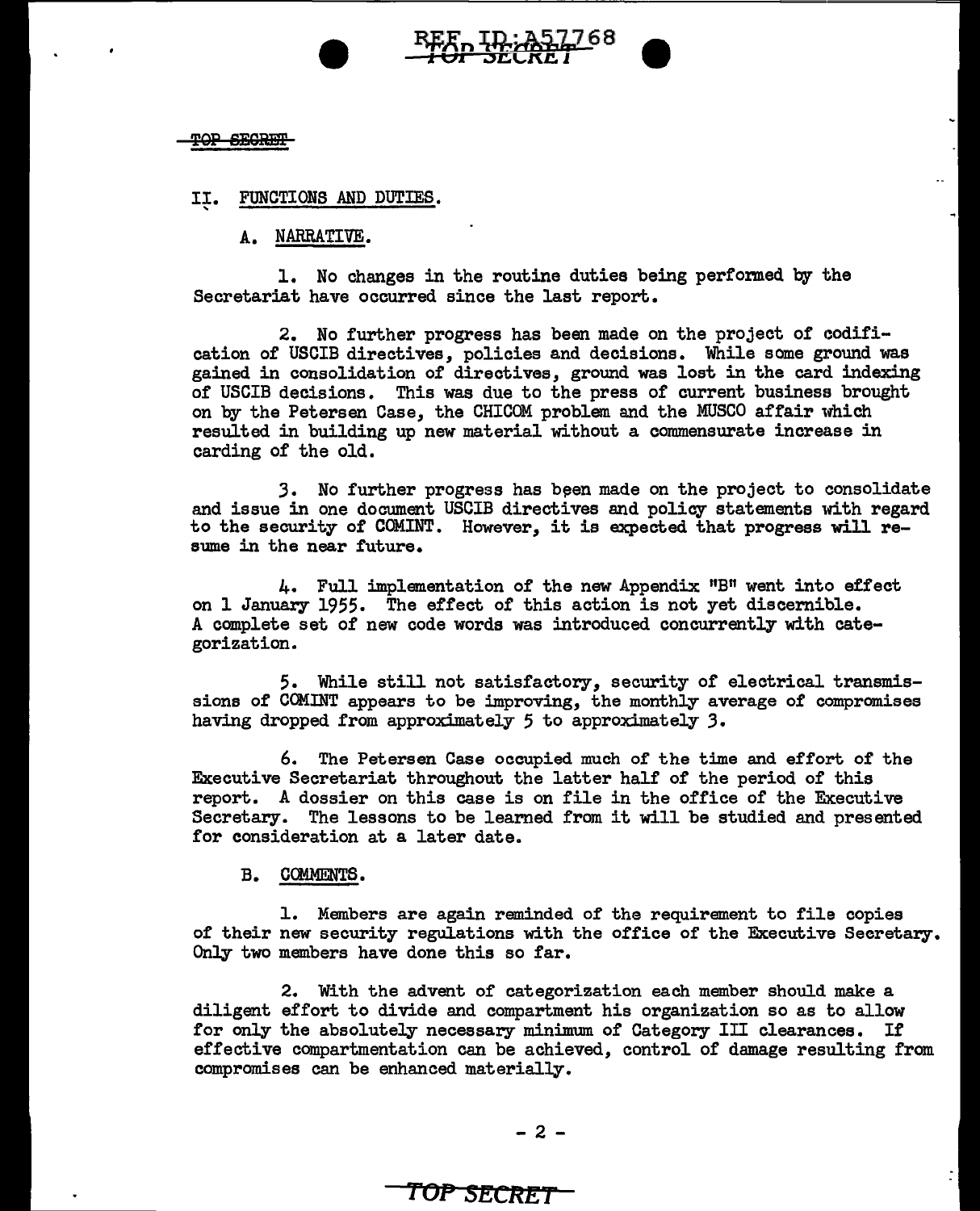

#### II. FUNCTIONS AND DUTIES. '

A. NARRATIVE.

1. No changes in the routine duties being performed by the Secretariat have occurred since the last report.

2. No further progress has been made on the project of codification of' USCIB directives, policies and decisions. While some ground was gained in consolidation of directives, ground was lost in the card indexing of USCIB decisions. This was due to the press of current business brought on by the Petersen Case, the CHICOM problem and the MUSCO affair which resulted in building up new material without a commensurate increase in carding of the old.

3. No further progress has been made on the project to consolidate and issue in one document USCIB directives and policy statements with regard to the security of COMINT. However, it is expected that progress will resume in the near future.

4. Full implementation of the new Appendix "B" went into effect on 1 January 1955. The effect of this action is not yet discernible. *A* complete set of new code words was introduced concurrently with categorization.

5. While still not satisfactory, security of electrical transmissions of COMINT appears to be improving, the monthly average of compromises having dropped from approximately 5 to approximately *3.* 

6. The Petersen Case occupied much of the time and effort of the Executive Secretariat throughout the latter half of the period of this report. A dossier on this case is on file in the office of the Executive Secretary. The lessons to be learned from it will be studied and presented for consideration at a later date.

B. COMMENTS.

1. Members are again reminded of the requirement to file copies of their new security regulations with the office of the Executive Secretary. Only two members have done this so far.

2. With the advent of categorization each member should make a diligent effort to divide and compartment his organization so as to allow for only the absolutely necessary minimum of Category III clearances. If effective compartmentation can be achieved, control or damage resulting from compromises can be enhanced materially.

# *roP* **SECRET**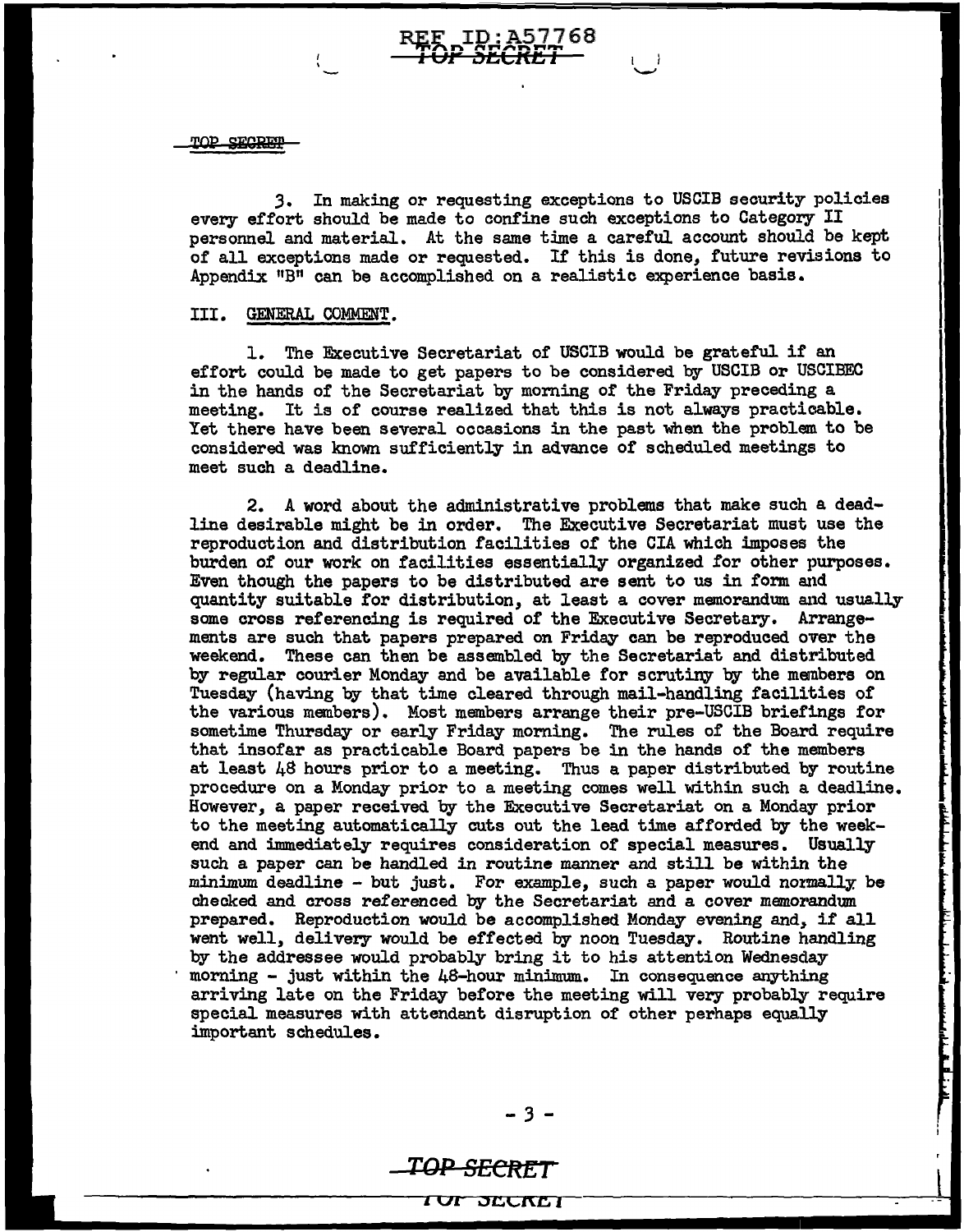TOP SECRET

3. In making or requesting exceptions to USCIB security policies every effort should be made to confine such exceptions to Category II personnel and material. At the same time a careful account should be kept or all exceptions made or requested. Ir this is done, future revisions to Appendix "B" can be accomplished on a realistic experience basis.

 $\leftarrow$ 

REF ID:A57768 **i vreku 1** 

#### III. GENERAL COMMENT.

1. The Executive Secretariat of USCIB would be grateful if an effort could be made to get papers to be considered by USCIB or USCIBEC in the hands of the Secretariat by morning of the Friday preceding a meeting. It is of course realized that this is not always practicable. Yet there have been several occasions in the past when the problem to be considered was known sufficiently in advance of' scheduled meetings to meet such a deadline.

2. A word about the administrative problems that make such a deadline desirable might be in order. The Executive Secretariat must use the reproduction and distribution facilities of the CIA which imposes the burden of our work on facilities essentially organized for other purposes. Even though the papers to be distributed are sent to us in form and quantity suitable for distribution, at least a cover memorandum and usually some cross referencing is required of the Executive Secretary. Arrangements are such that papers prepared on Friday can be reproduced over the weekend. These can then be assembled by the Secretariat and distributed by regular courier Monday and be available for scrutiny by the meinbers on Tuesday (having by that time cleared through mail-handling facilities of the various members). Most members arrange their pre-USCIB briefings for sometime Thursday or early Friday moming. The rules of the Board require that insofar as practicable Board papers be in the hands of the members at least 48 hours prior to a meeting. Thus a paper distributed by routine procedure on a Monday prior to a meeting comes well within such a deadline. However, a paper received by the Executive Secretariat on a Monday prior to the meeting automatically cuts out the lead time afforded by the weekend and immediately requires consideration of special measures. Usually such a paper can be handled in routine manner and still be within the minimum deadline - but just. For example, such a paper would normally, be checked and cross referenced by the Secretariat and a cover memorandum prepared. Reproduction would be accomplished Monday evening and, if all went well, delivery would be effected by noon Tuesday. Routine handling by the addressee would probably bring it to his attention Wednesday morning - just within the  $48$ -hour minimum. In consequence anything arriving late on the Friday before the meeting will very probably require special measures with attendant disruption of other perhaps equally important schedules.

i<br>Linksenaali

## **TQP SECttET**

1 VI JGCl\J:; **J**